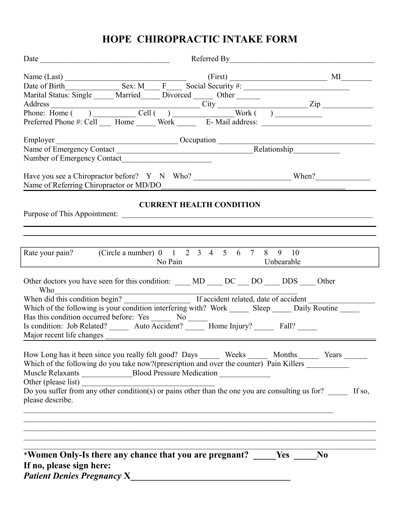# **HOPE CHIROPRACTIC INTAKE FORM**

|                                                                                                                                                                                                                                         |                                 | $(First)$ $M1$ |
|-----------------------------------------------------------------------------------------------------------------------------------------------------------------------------------------------------------------------------------------|---------------------------------|----------------|
|                                                                                                                                                                                                                                         |                                 |                |
|                                                                                                                                                                                                                                         |                                 |                |
|                                                                                                                                                                                                                                         |                                 |                |
|                                                                                                                                                                                                                                         |                                 |                |
| Marital Status: Single Married Divorced Other Transaction City<br>Address<br>Phone: Home ( ) Cell ( ) Cell ( ) Work ( ) Treferred Phone #: Cell Transaction City<br>Preferred Phone #: Cell Transaction Mork Treferred Phone #: Cell Tr |                                 |                |
|                                                                                                                                                                                                                                         |                                 |                |
| Employer<br>Name of Emergency Contact<br><u>Name of Emergency Contact</u><br><u>Decupation</u><br>Relationship                                                                                                                          |                                 |                |
|                                                                                                                                                                                                                                         |                                 |                |
| Name of Referring Chiropractor or MD/DO                                                                                                                                                                                                 |                                 |                |
|                                                                                                                                                                                                                                         | <b>CURRENT HEALTH CONDITION</b> |                |
| Rate your pain? (Circle a number) 0 1 2 3 4 5 6 7 8 9 10                                                                                                                                                                                |                                 |                |
| No Pain Unbearable                                                                                                                                                                                                                      |                                 |                |
| Other doctors you have seen for this condition: ____ MD ____ DC ___ DO ____ DDS ____ Other<br>Who                                                                                                                                       |                                 |                |
| When did this condition begin?<br>If accident related, date of accident                                                                                                                                                                 |                                 |                |
| Which of the following is your condition interfering with? Work ________ Sleep ______ Daily Routine ______                                                                                                                              |                                 |                |
| Has this condition occurred before: Yes _______ No ______                                                                                                                                                                               |                                 |                |
| Is condition: Job Related? _______ Auto Accident? _______ Home Injury? _______ Fall? ______                                                                                                                                             |                                 |                |
| Major recent life changes                                                                                                                                                                                                               |                                 |                |
| How Long has it been since you really felt good? Days ________ Weeks _________ Months _________ Years _______<br>Which of the following do you take now?(prescription and over the counter) Pain Killers __________                     |                                 |                |
| Other (please list) $\frac{1}{2}$ Do you suffer from any other condition(s) or pains other than the one you are consulting us for? $\frac{1}{2}$ If so,<br>please describe.                                                             |                                 |                |
| *Women Only-Is there any chance that you are pregnant? ______ Yes<br>If no, please sign here:                                                                                                                                           |                                 | N <sub>0</sub> |
| <b>Patient Denies Pregnancy X</b>                                                                                                                                                                                                       |                                 |                |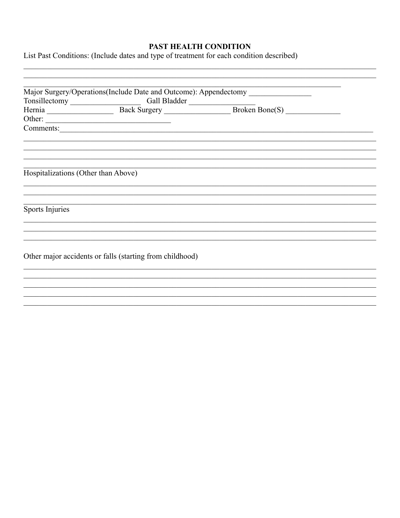# PAST HEALTH CONDITION

List Past Conditions: (Include dates and type of treatment for each condition described)

|                                     |                                                          | Major Surgery/Operations(Include Date and Outcome): Appendectomy |  |
|-------------------------------------|----------------------------------------------------------|------------------------------------------------------------------|--|
|                                     | Tonsillectomy Gall Bladder                               |                                                                  |  |
|                                     |                                                          | Hernia Back Surgery Back Surgery Broken Bone(S)                  |  |
|                                     | Other:                                                   |                                                                  |  |
|                                     |                                                          |                                                                  |  |
|                                     |                                                          |                                                                  |  |
|                                     |                                                          |                                                                  |  |
|                                     |                                                          |                                                                  |  |
|                                     |                                                          |                                                                  |  |
| Hospitalizations (Other than Above) |                                                          |                                                                  |  |
|                                     |                                                          |                                                                  |  |
|                                     |                                                          |                                                                  |  |
|                                     |                                                          |                                                                  |  |
| Sports Injuries                     |                                                          |                                                                  |  |
|                                     |                                                          |                                                                  |  |
|                                     |                                                          |                                                                  |  |
|                                     |                                                          |                                                                  |  |
|                                     |                                                          |                                                                  |  |
|                                     | Other major accidents or falls (starting from childhood) |                                                                  |  |
|                                     |                                                          |                                                                  |  |
|                                     |                                                          |                                                                  |  |
|                                     |                                                          |                                                                  |  |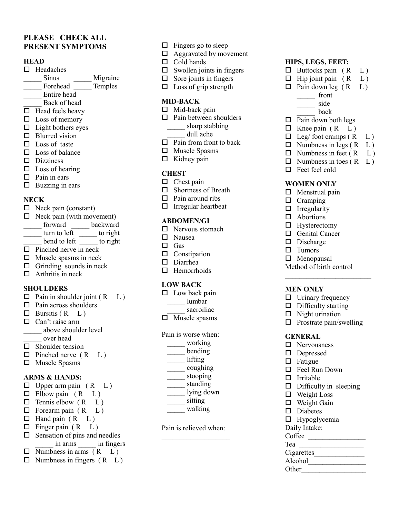### **PLEASE CHECK ALL PRESENT SYMPTOMS**

#### **HEAD**

- $\Box$  Headaches
- **Sinus Migraine**
- Forehead Temples
- \_\_\_\_\_ Entire head
- Back of head
- $\Box$  Head feels heavy
- $\square$  Loss of memory
- $\Box$  Light bothers eyes
- $\Box$  Blurred vision
- $\square$  Loss of taste
- $\square$  Loss of balance
- $\square$  Dizziness
- $\square$  Loss of hearing
- $\Box$  Pain in ears
- $\Box$  Buzzing in ears

#### **NECK**

- $\Box$  Neck pain (constant)
- $\Box$  Neck pain (with movement)
- forward backward
- turn to left to right
- bend to left to right
- $\Box$  Pinched nerve in neck
- $\Box$  Muscle spasms in neck
- $\Box$  Grinding sounds in neck
- $\Box$  Arthritis in neck

#### **SHOULDERS**

- $\Box$  Pain in shoulder joint ( $\Box$  L)
- $\Box$  Pain across shoulders
- $\Box$  Bursitis (R  $L$ )
- $\Box$  Can't raise arm \_\_\_\_\_ above shoulder level
- over head
- $\square$  Shoulder tension
- $\Box$  Pinched nerve (R L)
- Muscle Spasms

### **ARMS & HANDS:**

 $\Box$  Upper arm pain  $(R L)$  $\Box$  Elbow pain (R L)  $\Box$  Tennis elbow (R L)  $\Box$  Forearm pain  $(R L)$  $\Box$  Hand pain  $(R L)$  $\Box$  Finger pain (R L)  $\square$  Sensation of pins and needles \_\_\_\_\_ in arms \_\_\_\_\_ in fingers  $\Box$  Numbness in arms  $(R L)$  $\Box$  Numbness in fingers  $(R L)$ 

- $\Box$  Fingers go to sleep
- Aggravated by movement
- $\Box$  Cold hands
- $\square$  Swollen joints in fingers
- $\Box$  Sore joints in fingers
- $\Box$  Loss of grip strength

### **MID-BACK**

- $\Box$  Mid-back pain
- $\Box$  Pain between shoulders \_\_\_\_\_ sharp stabbing dull ache
- $\Box$  Pain from front to back
- □ Muscle Spasms
- $\Box$  Kidney pain
- 

### **CHEST**

- $\Box$  Chest pain
- □ Shortness of Breath
- $\Box$  Pain around ribs
- $\Box$  Irregular heartbeat

### **ABDOMEN/GI**

- $\Box$  Nervous stomach
- □ Nausea
- □ Gas
- $\Box$  Constipation
- Diarrhea
- $\Box$  Hemorrhoids

### **LOW BACK**

- $\Box$  Low back pain
	- \_\_\_\_\_ lumbar
	- sacroiliac
- $\Box$  Muscle spasms

Pain is worse when:

- \_\_\_\_\_ working
- $\frac{1}{\sqrt{2}}$  bending
- \_\_\_\_\_ lifting
- \_\_\_\_\_ coughing \_\_\_\_\_\_ stooping
- \_\_\_\_\_\_ standing
- \_\_\_\_\_\_ lying down
- \_\_\_\_\_ sitting
- \_\_\_\_\_ walking
- Pain is relieved when:  $\mathcal{L}_\text{max}$

#### **HIPS, LEGS, FEET:**

- $\Box$  Buttocks pain  $(R L)$
- $\Box$  Hip joint pain  $(R L)$
- $\Box$  Pain down leg (R L)
	- \_\_\_\_\_ front
	- \_\_\_\_\_\_ side
		- \_\_\_\_\_ back
- $\Box$  Pain down both legs
- $\Box$  Knee pain (R L)
- $\Box$  Leg/ foot cramps (R  $L$ )
- $\Box$  Numbness in legs ( $\mathrm{R}$  L)
- $\Box$  Numbness in feet (R  $L$ )
- $\Box$  Numbness in toes  $(R L)$
- $\Box$  Feet feel cold

#### **WOMEN ONLY**

- $\Box$  Menstrual pain
- $\Box$  Cramping
- $\Box$  Irregularity
- □ Abortions
- $\Box$  Hysterectomy

□ Menopausal

**MEN ONLY**

**GENERAL** □ Nervousness Depressed  $\Box$  Fatigue

 $\Box$  Irritable

 $\Box$  Weight Loss  $\Box$  Weight Gain □ Diabetes  $\Box$  Hypoglycemia Daily Intake:

□ Feel Run Down

 $\Box$  Difficulty in sleeping

Coffee Tea \_\_\_\_\_\_\_\_\_\_\_\_\_\_\_\_\_\_ Cigarettes\_\_\_\_\_\_\_\_\_\_\_\_\_\_  $\Delta$ lcohol $\frac{\phantom{1}}{2\phantom{1}}$ Other

Method of birth control  $\mathcal{L}_\text{max}$ 

 $\Box$  Urinary frequency  $\Box$  Difficulty starting  $\Box$  Night urination

 $\Box$  Prostrate pain/swelling

- □ Genital Cancer
- $\square$  Discharge  $\Box$  Tumors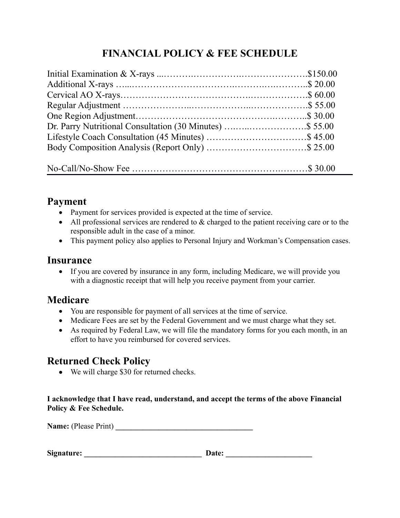# **FINANCIAL POLICY & FEE SCHEDULE**

# **Payment**

- Payment for services provided is expected at the time of service.
- All professional services are rendered to & charged to the patient receiving care or to the responsible adult in the case of a minor.
- This payment policy also applies to Personal Injury and Workman's Compensation cases.

# **Insurance**

 If you are covered by insurance in any form, including Medicare, we will provide you with a diagnostic receipt that will help you receive payment from your carrier.

# **Medicare**

- You are responsible for payment of all services at the time of service.
- Medicare Fees are set by the Federal Government and we must charge what they set.
- As required by Federal Law, we will file the mandatory forms for you each month, in an effort to have you reimbursed for covered services.

# **Returned Check Policy**

We will charge \$30 for returned checks.

## **I acknowledge that I have read, understand, and accept the terms of the above Financial Policy & Fee Schedule.**

**Name:** (Please Print) **\_\_\_\_\_\_\_\_\_\_\_\_\_\_\_\_\_\_\_\_\_\_\_\_\_\_\_\_\_\_\_\_\_\_\_** 

| Signature: | <b>Date:</b> |
|------------|--------------|
|------------|--------------|